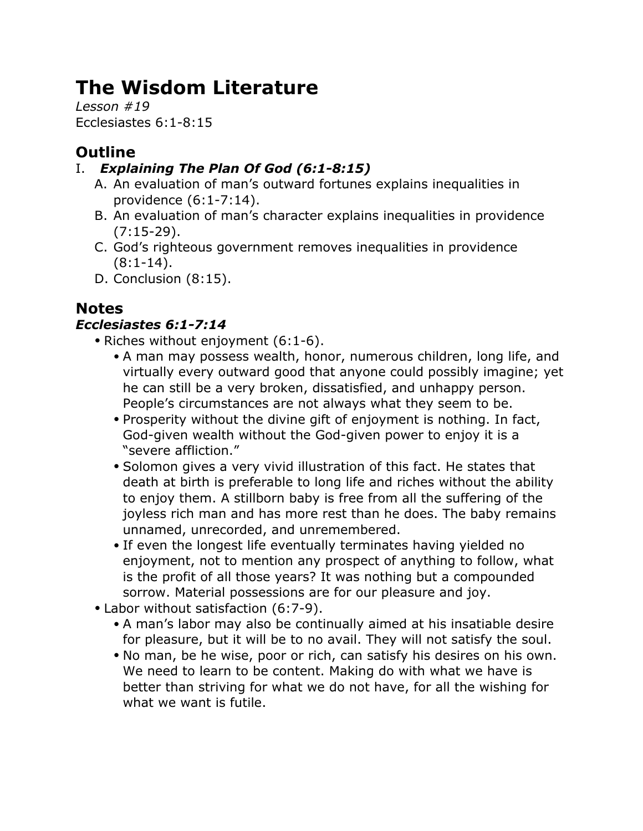# **The Wisdom Literature**

*Lesson #19* Ecclesiastes 6:1-8:15

# **Outline**

## I. *Explaining The Plan Of God (6:1-8:15)*

- A. An evaluation of man's outward fortunes explains inequalities in providence (6:1-7:14).
- B. An evaluation of man's character explains inequalities in providence (7:15-29).
- C. God's righteous government removes inequalities in providence  $(8:1-14)$ .
- D. Conclusion (8:15).

# **Notes**

## *Ecclesiastes 6:1-7:14*

- Riches without enjoyment (6:1-6).
	- A man may possess wealth, honor, numerous children, long life, and virtually every outward good that anyone could possibly imagine; yet he can still be a very broken, dissatisfied, and unhappy person. People's circumstances are not always what they seem to be.
	- Prosperity without the divine gift of enjoyment is nothing. In fact, God-given wealth without the God-given power to enjoy it is a "severe affliction."
	- Solomon gives a very vivid illustration of this fact. He states that death at birth is preferable to long life and riches without the ability to enjoy them. A stillborn baby is free from all the suffering of the joyless rich man and has more rest than he does. The baby remains unnamed, unrecorded, and unremembered.
	- If even the longest life eventually terminates having yielded no enjoyment, not to mention any prospect of anything to follow, what is the profit of all those years? It was nothing but a compounded sorrow. Material possessions are for our pleasure and joy.
- Labor without satisfaction (6:7-9).
	- A man's labor may also be continually aimed at his insatiable desire for pleasure, but it will be to no avail. They will not satisfy the soul.
	- No man, be he wise, poor or rich, can satisfy his desires on his own. We need to learn to be content. Making do with what we have is better than striving for what we do not have, for all the wishing for what we want is futile.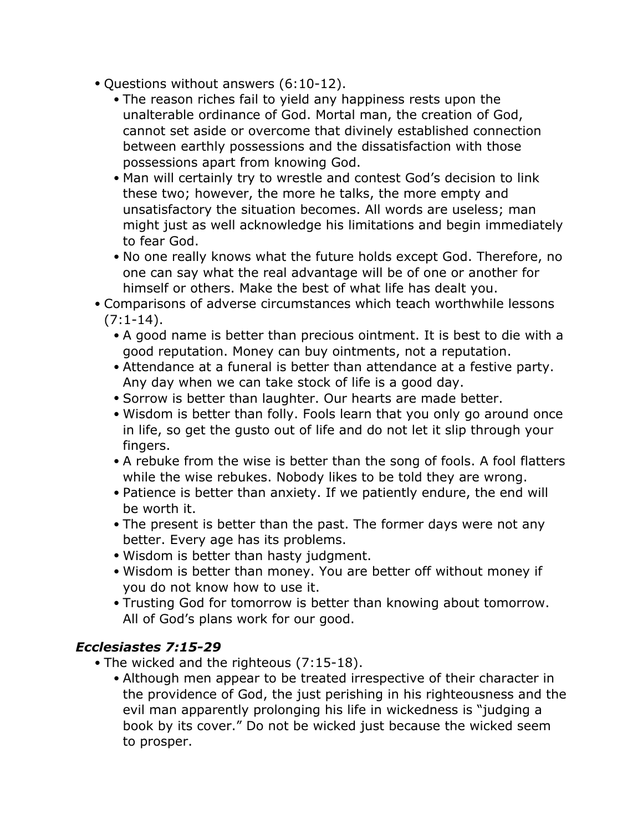- Questions without answers (6:10-12).
	- The reason riches fail to yield any happiness rests upon the unalterable ordinance of God. Mortal man, the creation of God, cannot set aside or overcome that divinely established connection between earthly possessions and the dissatisfaction with those possessions apart from knowing God.
	- Man will certainly try to wrestle and contest God's decision to link these two; however, the more he talks, the more empty and unsatisfactory the situation becomes. All words are useless; man might just as well acknowledge his limitations and begin immediately to fear God.
	- No one really knows what the future holds except God. Therefore, no one can say what the real advantage will be of one or another for himself or others. Make the best of what life has dealt you.
- Comparisons of adverse circumstances which teach worthwhile lessons  $(7:1-14)$ .
	- A good name is better than precious ointment. It is best to die with a good reputation. Money can buy ointments, not a reputation.
	- Attendance at a funeral is better than attendance at a festive party. Any day when we can take stock of life is a good day.
	- Sorrow is better than laughter. Our hearts are made better.
	- Wisdom is better than folly. Fools learn that you only go around once in life, so get the gusto out of life and do not let it slip through your fingers.
	- A rebuke from the wise is better than the song of fools. A fool flatters while the wise rebukes. Nobody likes to be told they are wrong.
	- Patience is better than anxiety. If we patiently endure, the end will be worth it.
	- The present is better than the past. The former days were not any better. Every age has its problems.
	- Wisdom is better than hasty judgment.
	- Wisdom is better than money. You are better off without money if you do not know how to use it.
	- Trusting God for tomorrow is better than knowing about tomorrow. All of God's plans work for our good.

#### *Ecclesiastes 7:15-29*

- The wicked and the righteous (7:15-18).
	- Although men appear to be treated irrespective of their character in the providence of God, the just perishing in his righteousness and the evil man apparently prolonging his life in wickedness is "judging a book by its cover." Do not be wicked just because the wicked seem to prosper.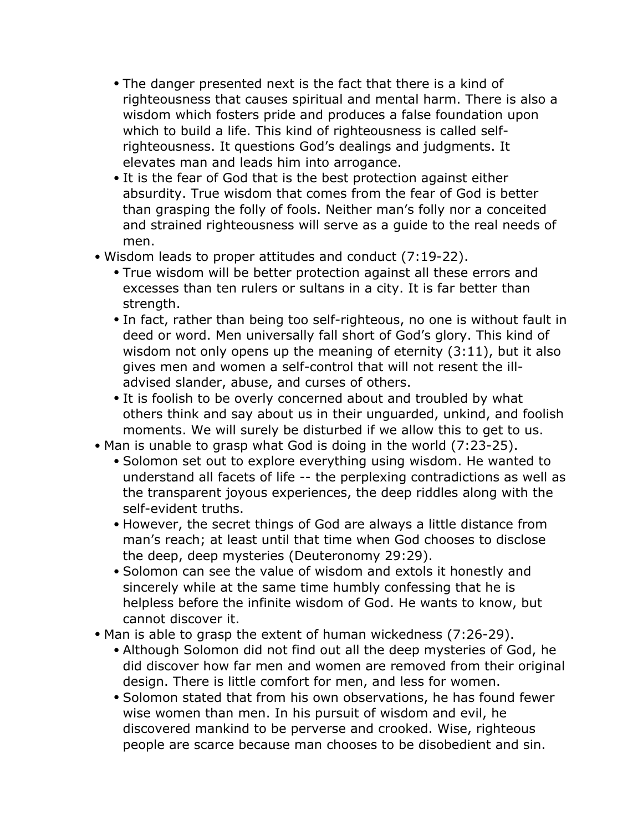- The danger presented next is the fact that there is a kind of righteousness that causes spiritual and mental harm. There is also a wisdom which fosters pride and produces a false foundation upon which to build a life. This kind of righteousness is called selfrighteousness. It questions God's dealings and judgments. It elevates man and leads him into arrogance.
- It is the fear of God that is the best protection against either absurdity. True wisdom that comes from the fear of God is better than grasping the folly of fools. Neither man's folly nor a conceited and strained righteousness will serve as a guide to the real needs of men.
- Wisdom leads to proper attitudes and conduct (7:19-22).
	- True wisdom will be better protection against all these errors and excesses than ten rulers or sultans in a city. It is far better than strength.
	- In fact, rather than being too self-righteous, no one is without fault in deed or word. Men universally fall short of God's glory. This kind of wisdom not only opens up the meaning of eternity (3:11), but it also gives men and women a self-control that will not resent the illadvised slander, abuse, and curses of others.
	- It is foolish to be overly concerned about and troubled by what others think and say about us in their unguarded, unkind, and foolish moments. We will surely be disturbed if we allow this to get to us.
- Man is unable to grasp what God is doing in the world (7:23-25).
	- Solomon set out to explore everything using wisdom. He wanted to understand all facets of life -- the perplexing contradictions as well as the transparent joyous experiences, the deep riddles along with the self-evident truths.
	- However, the secret things of God are always a little distance from man's reach; at least until that time when God chooses to disclose the deep, deep mysteries (Deuteronomy 29:29).
	- Solomon can see the value of wisdom and extols it honestly and sincerely while at the same time humbly confessing that he is helpless before the infinite wisdom of God. He wants to know, but cannot discover it.
- Man is able to grasp the extent of human wickedness (7:26-29).
	- Although Solomon did not find out all the deep mysteries of God, he did discover how far men and women are removed from their original design. There is little comfort for men, and less for women.
	- Solomon stated that from his own observations, he has found fewer wise women than men. In his pursuit of wisdom and evil, he discovered mankind to be perverse and crooked. Wise, righteous people are scarce because man chooses to be disobedient and sin.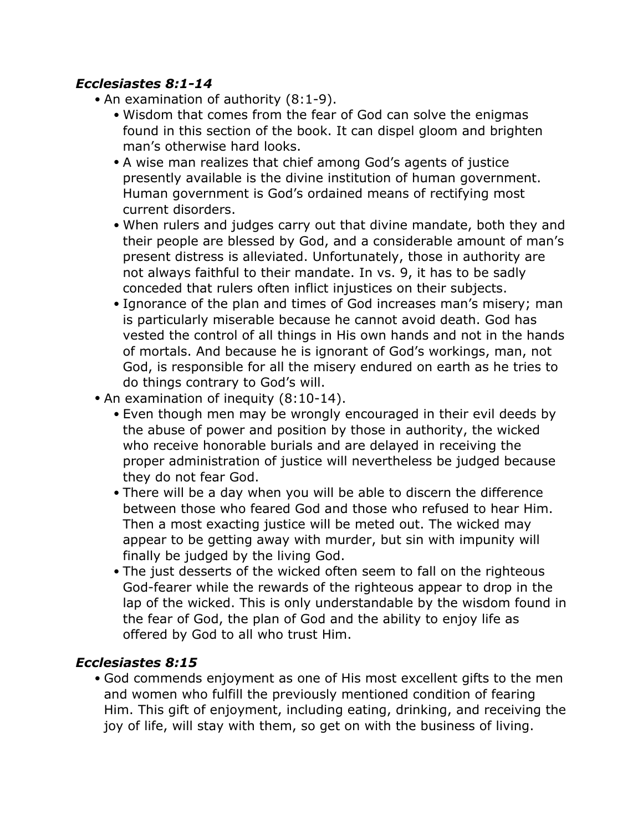#### *Ecclesiastes 8:1-14*

- An examination of authority (8:1-9).
	- Wisdom that comes from the fear of God can solve the enigmas found in this section of the book. It can dispel gloom and brighten man's otherwise hard looks.
	- A wise man realizes that chief among God's agents of justice presently available is the divine institution of human government. Human government is God's ordained means of rectifying most current disorders.
	- When rulers and judges carry out that divine mandate, both they and their people are blessed by God, and a considerable amount of man's present distress is alleviated. Unfortunately, those in authority are not always faithful to their mandate. In vs. 9, it has to be sadly conceded that rulers often inflict injustices on their subjects.
	- Ignorance of the plan and times of God increases man's misery; man is particularly miserable because he cannot avoid death. God has vested the control of all things in His own hands and not in the hands of mortals. And because he is ignorant of God's workings, man, not God, is responsible for all the misery endured on earth as he tries to do things contrary to God's will.
- An examination of inequity (8:10-14).
	- Even though men may be wrongly encouraged in their evil deeds by the abuse of power and position by those in authority, the wicked who receive honorable burials and are delayed in receiving the proper administration of justice will nevertheless be judged because they do not fear God.
	- There will be a day when you will be able to discern the difference between those who feared God and those who refused to hear Him. Then a most exacting justice will be meted out. The wicked may appear to be getting away with murder, but sin with impunity will finally be judged by the living God.
	- The just desserts of the wicked often seem to fall on the righteous God-fearer while the rewards of the righteous appear to drop in the lap of the wicked. This is only understandable by the wisdom found in the fear of God, the plan of God and the ability to enjoy life as offered by God to all who trust Him.

### *Ecclesiastes 8:15*

• God commends enjoyment as one of His most excellent gifts to the men and women who fulfill the previously mentioned condition of fearing Him. This gift of enjoyment, including eating, drinking, and receiving the joy of life, will stay with them, so get on with the business of living.